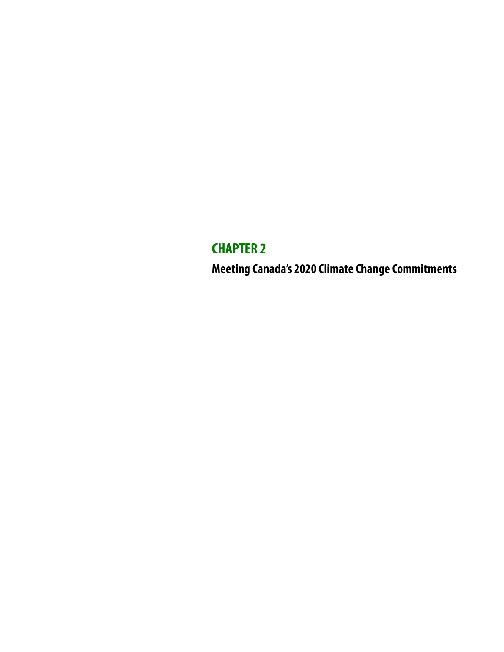## **CHAPTER 2**

**Meeting Canada's 2020 Climate Change Commitments**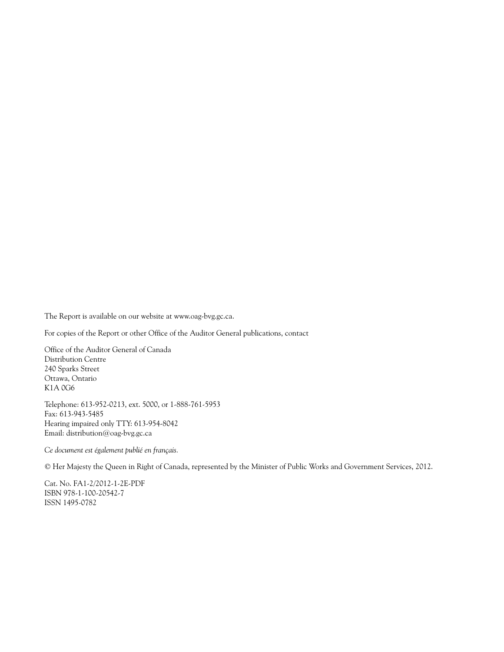The Report is available on our website at www.oag-bvg.gc.ca.

For copies of the Report or other Office of the Auditor General publications, contact

Office of the Auditor General of Canada Distribution Centre 240 Sparks Street Ottawa, Ontario K1A 0G6

Telephone: 613-952-0213, ext. 5000, or 1-888-761-5953 Fax: 613-943-5485 Hearing impaired only TTY: 613-954-8042 Email: distribution@oag-bvg.gc.ca

*Ce document est également publié en français.*

© Her Majesty the Queen in Right of Canada, represented by the Minister of Public Works and Government Services, 2012.

Cat. No. FA1-2/2012-1-2E-PDF ISBN 978-1-100-20542-7 ISSN 1495-0782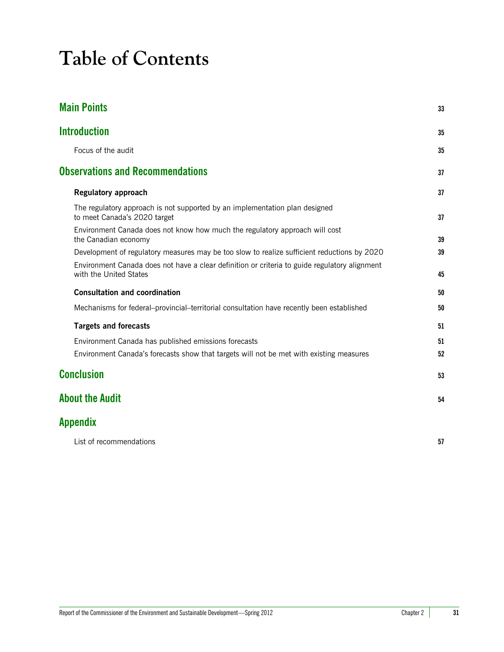# **Table of Contents**

| 33 |
|----|
| 35 |
| 35 |
| 37 |
| 37 |
| 37 |
| 39 |
| 39 |
| 45 |
| 50 |
| 50 |
| 51 |
| 51 |
| 52 |
| 53 |
| 54 |
|    |
|    |

| List of recommendations | IJ |
|-------------------------|----|
|                         |    |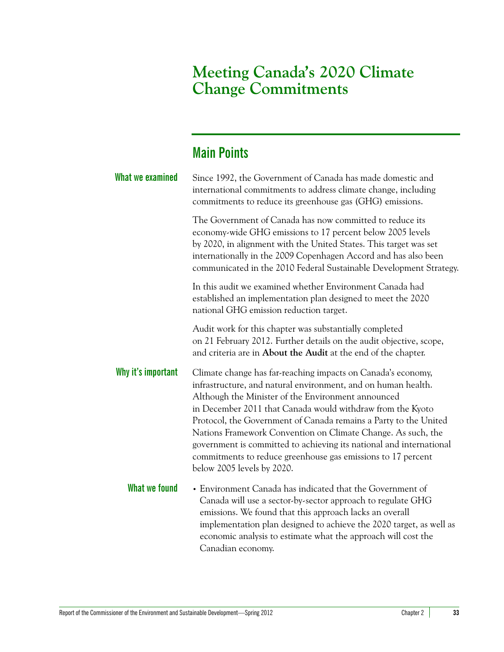### **Meeting Canada's 2020 Climate Change Commitments**

### <span id="page-4-0"></span>**Main Points**

| What we examined   | Since 1992, the Government of Canada has made domestic and<br>international commitments to address climate change, including<br>commitments to reduce its greenhouse gas (GHG) emissions.                                                                                                                                                                                                                                                                                                                                                                  |
|--------------------|------------------------------------------------------------------------------------------------------------------------------------------------------------------------------------------------------------------------------------------------------------------------------------------------------------------------------------------------------------------------------------------------------------------------------------------------------------------------------------------------------------------------------------------------------------|
|                    | The Government of Canada has now committed to reduce its<br>economy-wide GHG emissions to 17 percent below 2005 levels<br>by 2020, in alignment with the United States. This target was set<br>internationally in the 2009 Copenhagen Accord and has also been<br>communicated in the 2010 Federal Sustainable Development Strategy.                                                                                                                                                                                                                       |
|                    | In this audit we examined whether Environment Canada had<br>established an implementation plan designed to meet the 2020<br>national GHG emission reduction target.                                                                                                                                                                                                                                                                                                                                                                                        |
|                    | Audit work for this chapter was substantially completed<br>on 21 February 2012. Further details on the audit objective, scope,<br>and criteria are in About the Audit at the end of the chapter.                                                                                                                                                                                                                                                                                                                                                           |
| Why it's important | Climate change has far-reaching impacts on Canada's economy,<br>infrastructure, and natural environment, and on human health.<br>Although the Minister of the Environment announced<br>in December 2011 that Canada would withdraw from the Kyoto<br>Protocol, the Government of Canada remains a Party to the United<br>Nations Framework Convention on Climate Change. As such, the<br>government is committed to achieving its national and international<br>commitments to reduce greenhouse gas emissions to 17 percent<br>below 2005 levels by 2020. |
| What we found      | • Environment Canada has indicated that the Government of<br>Canada will use a sector-by-sector approach to regulate GHG<br>emissions. We found that this approach lacks an overall<br>implementation plan designed to achieve the 2020 target, as well as<br>economic analysis to estimate what the approach will cost the<br>Canadian economy.                                                                                                                                                                                                           |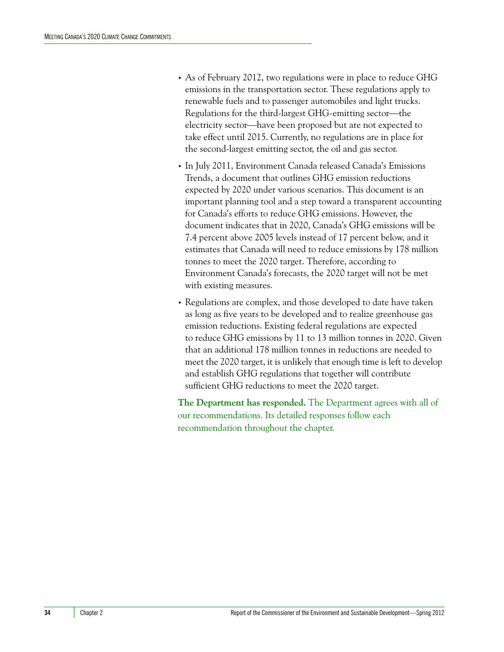- **•** As of February 2012, two regulations were in place to reduce GHG emissions in the transportation sector. These regulations apply to renewable fuels and to passenger automobiles and light trucks. Regulations for the third-largest GHG-emitting sector-the electricity sector—have been proposed but are not expected to take effect until 2015. Currently, no regulations are in place for the second-largest emitting sector, the oil and gas sector.
- **•** In July 2011, Environment Canada released Canada's Emissions Trends, a document that outlines GHG emission reductions expected by 2020 under various scenarios. This document is an important planning tool and a step toward a transparent accounting for Canada's efforts to reduce GHG emissions. However, the document indicates that in 2020, Canada's GHG emissions will be 7.4 percent above 2005 levels instead of 17 percent below, and it estimates that Canada will need to reduce emissions by 178 million tonnes to meet the 2020 target. Therefore, according to Environment Canada's forecasts, the 2020 target will not be met with existing measures.
- **•** Regulations are complex, and those developed to date have taken as long as five years to be developed and to realize greenhouse gas emission reductions. Existing federal regulations are expected to reduce GHG emissions by 11 to 13 million tonnes in 2020. Given that an additional 178 million tonnes in reductions are needed to meet the 2020 target, it is unlikely that enough time is left to develop and establish GHG regulations that together will contribute sufficient GHG reductions to meet the 2020 target.

**The Department has responded.** The Department agrees with all of our recommendations. Its detailed responses follow each recommendation throughout the chapter.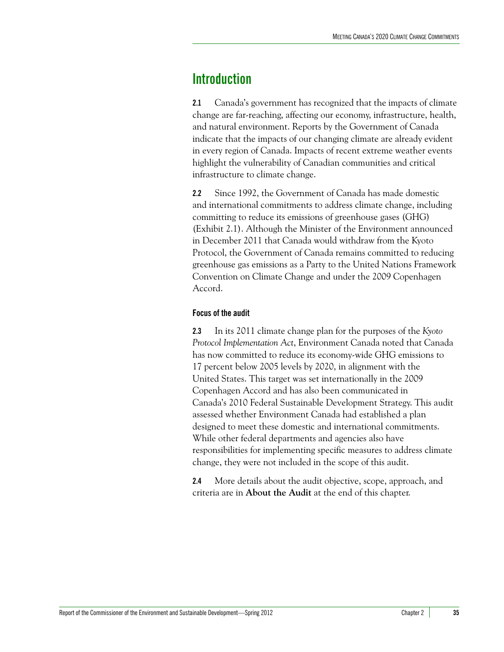### <span id="page-6-0"></span>**Introduction**

**2.1** Canada's government has recognized that the impacts of climate change are far-reaching, affecting our economy, infrastructure, health, and natural environment. Reports by the Government of Canada indicate that the impacts of our changing climate are already evident in every region of Canada. Impacts of recent extreme weather events highlight the vulnerability of Canadian communities and critical infrastructure to climate change.

**2.2** Since 1992, the Government of Canada has made domestic and international commitments to address climate change, including committing to reduce its emissions of greenhouse gases (GHG) (Exhibit 2.1). Although the Minister of the Environment announced in December 2011 that Canada would withdraw from the Kyoto Protocol, the Government of Canada remains committed to reducing greenhouse gas emissions as a Party to the United Nations Framework Convention on Climate Change and under the 2009 Copenhagen Accord.

#### <span id="page-6-1"></span>**Focus of the audit**

**2.3** In its 2011 climate change plan for the purposes of the *Kyoto Protocol Implementation Act*, Environment Canada noted that Canada has now committed to reduce its economy-wide GHG emissions to 17 percent below 2005 levels by 2020, in alignment with the United States. This target was set internationally in the 2009 Copenhagen Accord and has also been communicated in Canada's 2010 Federal Sustainable Development Strategy. This audit assessed whether Environment Canada had established a plan designed to meet these domestic and international commitments. While other federal departments and agencies also have responsibilities for implementing specific measures to address climate change, they were not included in the scope of this audit.

**2.4** More details about the audit objective, scope, approach, and criteria are in **About the Audit** at the end of this chapter.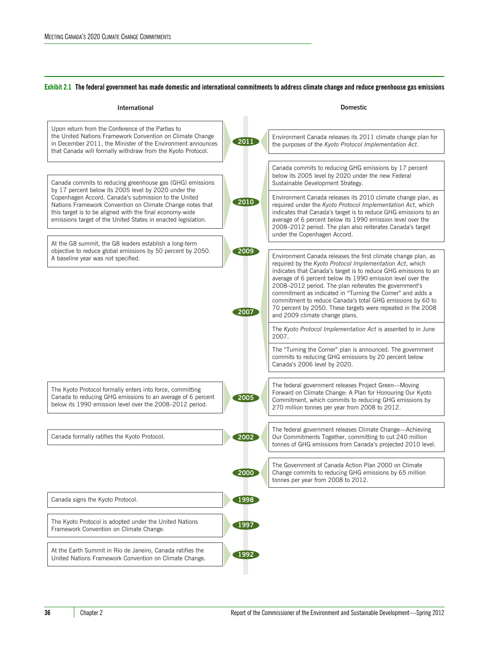#### **Exhibit 2.1 The federal government has made domestic and international commitments to address climate change and reduce greenhouse gas emissions**

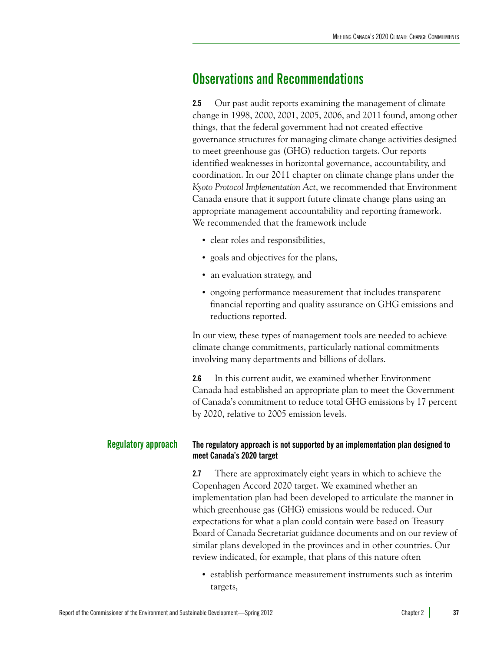### <span id="page-8-0"></span>**Observations and Recommendations**

**2.5** Our past audit reports examining the management of climate change in 1998, 2000, 2001, 2005, 2006, and 2011 found, among other things, that the federal government had not created effective governance structures for managing climate change activities designed to meet greenhouse gas (GHG) reduction targets. Our reports identified weaknesses in horizontal governance, accountability, and coordination. In our 2011 chapter on climate change plans under the *Kyoto Protocol Implementation Act*, we recommended that Environment Canada ensure that it support future climate change plans using an appropriate management accountability and reporting framework. We recommended that the framework include

- **•** clear roles and responsibilities,
- **•** goals and objectives for the plans,
- **•** an evaluation strategy, and
- **•** ongoing performance measurement that includes transparent financial reporting and quality assurance on GHG emissions and reductions reported.

In our view, these types of management tools are needed to achieve climate change commitments, particularly national commitments involving many departments and billions of dollars.

**2.6** In this current audit, we examined whether Environment Canada had established an appropriate plan to meet the Government of Canada's commitment to reduce total GHG emissions by 17 percent by 2020, relative to 2005 emission levels.

#### <span id="page-8-1"></span>**Regulatory approach The regulatory approach is not supported by an implementation plan designed to meet Canada's 2020 target**

<span id="page-8-2"></span>**2.7** There are approximately eight years in which to achieve the Copenhagen Accord 2020 target. We examined whether an implementation plan had been developed to articulate the manner in which greenhouse gas (GHG) emissions would be reduced. Our expectations for what a plan could contain were based on Treasury Board of Canada Secretariat guidance documents and on our review of similar plans developed in the provinces and in other countries. Our review indicated, for example, that plans of this nature often

**•** establish performance measurement instruments such as interim targets,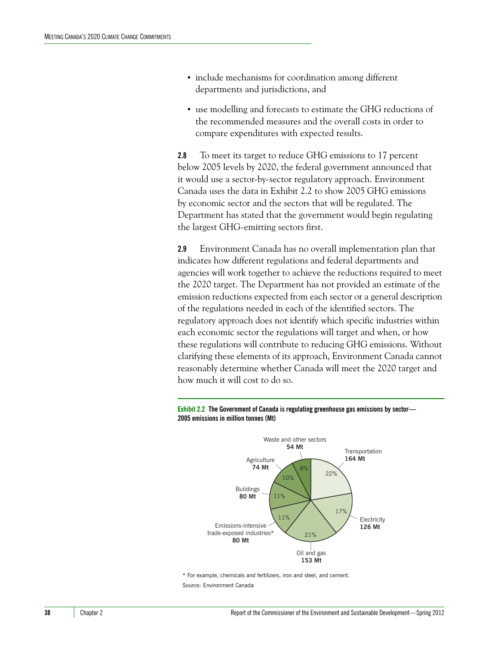- **•** include mechanisms for coordination among different departments and jurisdictions, and
- **•** use modelling and forecasts to estimate the GHG reductions of the recommended measures and the overall costs in order to compare expenditures with expected results.

**2.8** To meet its target to reduce GHG emissions to 17 percent below 2005 levels by 2020, the federal government announced that it would use a sector-by-sector regulatory approach. Environment Canada uses the data in Exhibit 2.2 to show 2005 GHG emissions by economic sector and the sectors that will be regulated. The Department has stated that the government would begin regulating the largest GHG-emitting sectors first.

**2.9** Environment Canada has no overall implementation plan that indicates how different regulations and federal departments and agencies will work together to achieve the reductions required to meet the 2020 target. The Department has not provided an estimate of the emission reductions expected from each sector or a general description of the regulations needed in each of the identified sectors. The regulatory approach does not identify which specific industries within each economic sector the regulations will target and when, or how these regulations will contribute to reducing GHG emissions. Without clarifying these elements of its approach, Environment Canada cannot reasonably determine whether Canada will meet the 2020 target and how much it will cost to do so.





\* For example, chemicals and fertilizers, iron and steel, and cement. Source: Environment Canada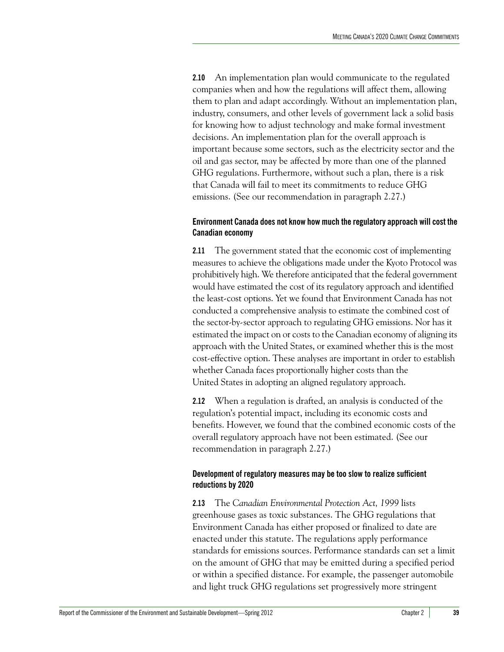**2.10** An implementation plan would communicate to the regulated companies when and how the regulations will affect them, allowing them to plan and adapt accordingly. Without an implementation plan, industry, consumers, and other levels of government lack a solid basis for knowing how to adjust technology and make formal investment decisions. An implementation plan for the overall approach is important because some sectors, such as the electricity sector and the oil and gas sector, may be affected by more than one of the planned GHG regulations. Furthermore, without such a plan, there is a risk that Canada will fail to meet its commitments to reduce GHG emissions. (See our recommendation in paragraph 2.27.)

#### <span id="page-10-0"></span>**Environment Canada does not know how much the regulatory approach will cost the Canadian economy**

**2.11** The government stated that the economic cost of implementing measures to achieve the obligations made under the Kyoto Protocol was prohibitively high. We therefore anticipated that the federal government would have estimated the cost of its regulatory approach and identified the least-cost options. Yet we found that Environment Canada has not conducted a comprehensive analysis to estimate the combined cost of the sector-by-sector approach to regulating GHG emissions. Nor has it estimated the impact on or costs to the Canadian economy of aligning its approach with the United States, or examined whether this is the most cost-effective option. These analyses are important in order to establish whether Canada faces proportionally higher costs than the United States in adopting an aligned regulatory approach.

**2.12** When a regulation is drafted, an analysis is conducted of the regulation's potential impact, including its economic costs and benefits. However, we found that the combined economic costs of the overall regulatory approach have not been estimated. (See our recommendation in paragraph 2.27.)

#### <span id="page-10-1"></span>**Development of regulatory measures may be too slow to realize sufficient reductions by 2020**

**2.13** The *Canadian Environmental Protection Act, 1999* lists greenhouse gases as toxic substances. The GHG regulations that Environment Canada has either proposed or finalized to date are enacted under this statute. The regulations apply performance standards for emissions sources. Performance standards can set a limit on the amount of GHG that may be emitted during a specified period or within a specified distance. For example, the passenger automobile and light truck GHG regulations set progressively more stringent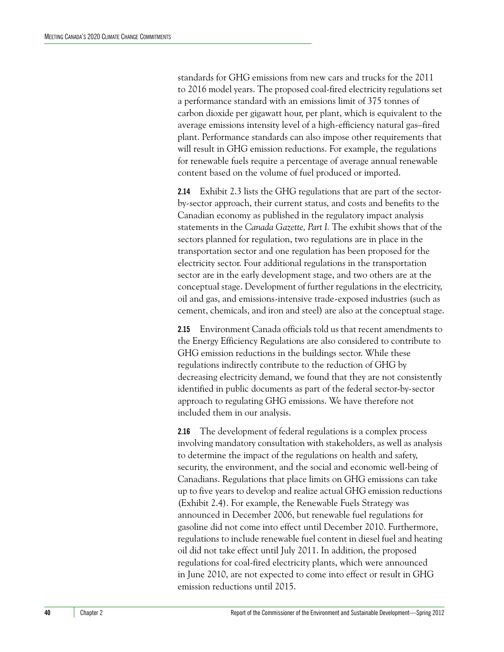standards for GHG emissions from new cars and trucks for the 2011 to 2016 model years. The proposed coal-fired electricity regulations set a performance standard with an emissions limit of 375 tonnes of carbon dioxide per gigawatt hour, per plant, which is equivalent to the average emissions intensity level of a high-efficiency natural gas–fired plant. Performance standards can also impose other requirements that will result in GHG emission reductions. For example, the regulations for renewable fuels require a percentage of average annual renewable content based on the volume of fuel produced or imported.

**2.14** Exhibit 2.3 lists the GHG regulations that are part of the sectorby-sector approach, their current status, and costs and benefits to the Canadian economy as published in the regulatory impact analysis statements in the *Canada Gazette, Part I.* The exhibit shows that of the sectors planned for regulation, two regulations are in place in the transportation sector and one regulation has been proposed for the electricity sector. Four additional regulations in the transportation sector are in the early development stage, and two others are at the conceptual stage. Development of further regulations in the electricity, oil and gas, and emissions-intensive trade-exposed industries (such as cement, chemicals, and iron and steel) are also at the conceptual stage.

**2.15** Environment Canada officials told us that recent amendments to the Energy Efficiency Regulations are also considered to contribute to GHG emission reductions in the buildings sector. While these regulations indirectly contribute to the reduction of GHG by decreasing electricity demand, we found that they are not consistently identified in public documents as part of the federal sector-by-sector approach to regulating GHG emissions. We have therefore not included them in our analysis.

**2.16** The development of federal regulations is a complex process involving mandatory consultation with stakeholders, as well as analysis to determine the impact of the regulations on health and safety, security, the environment, and the social and economic well-being of Canadians. Regulations that place limits on GHG emissions can take up to five years to develop and realize actual GHG emission reductions (Exhibit 2.4). For example, the Renewable Fuels Strategy was announced in December 2006, but renewable fuel regulations for gasoline did not come into effect until December 2010. Furthermore, regulations to include renewable fuel content in diesel fuel and heating oil did not take effect until July 2011. In addition, the proposed regulations for coal-fired electricity plants, which were announced in June 2010, are not expected to come into effect or result in GHG emission reductions until 2015.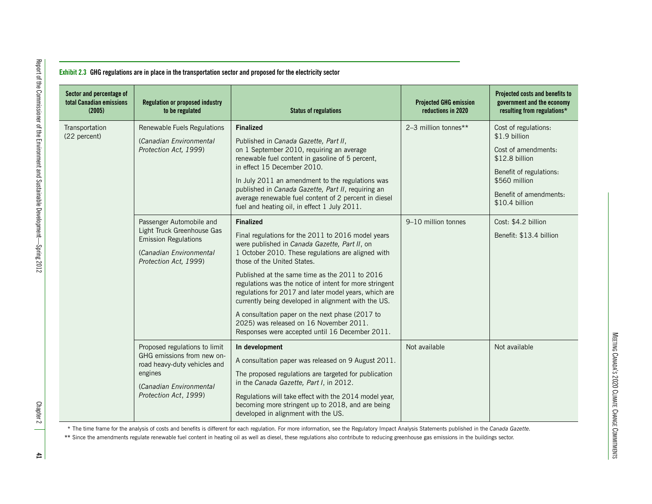| Sector and percentage of<br>total Canadian emissions<br>(2005) | <b>Regulation or proposed industry</b><br>to be regulated                                                                                                  | <b>Status of regulations</b>                                                                                                                                                                                                                                                                                                                                                                                                                                                                                                                                                               | <b>Projected GHG emission</b><br>reductions in 2020 | Projected costs and benefits to<br>government and the economy<br>resulting from regulations*                                                                           |
|----------------------------------------------------------------|------------------------------------------------------------------------------------------------------------------------------------------------------------|--------------------------------------------------------------------------------------------------------------------------------------------------------------------------------------------------------------------------------------------------------------------------------------------------------------------------------------------------------------------------------------------------------------------------------------------------------------------------------------------------------------------------------------------------------------------------------------------|-----------------------------------------------------|------------------------------------------------------------------------------------------------------------------------------------------------------------------------|
| Transportation<br>(22 percent)                                 | Renewable Fuels Regulations<br>(Canadian Environmental<br>Protection Act, 1999)                                                                            | <b>Finalized</b><br>Published in Canada Gazette, Part II,<br>on 1 September 2010, requiring an average<br>renewable fuel content in gasoline of 5 percent,<br>in effect 15 December 2010.<br>In July 2011 an amendment to the regulations was<br>published in Canada Gazette, Part II, requiring an<br>average renewable fuel content of 2 percent in diesel<br>fuel and heating oil, in effect 1 July 2011.                                                                                                                                                                               | 2-3 million tonnes**                                | Cost of regulations:<br>\$1.9 billion<br>Cost of amendments:<br>\$12.8 billion<br>Benefit of regulations:<br>\$560 million<br>Benefit of amendments:<br>\$10.4 billion |
|                                                                | Passenger Automobile and<br>Light Truck Greenhouse Gas<br><b>Emission Regulations</b><br>(Canadian Environmental<br>Protection Act, 1999)                  | <b>Finalized</b><br>Final regulations for the 2011 to 2016 model years<br>were published in Canada Gazette, Part II, on<br>1 October 2010. These regulations are aligned with<br>those of the United States.<br>Published at the same time as the 2011 to 2016<br>regulations was the notice of intent for more stringent<br>regulations for 2017 and later model years, which are<br>currently being developed in alignment with the US.<br>A consultation paper on the next phase (2017 to<br>2025) was released on 16 November 2011.<br>Responses were accepted until 16 December 2011. | 9-10 million tonnes                                 | Cost: \$4.2 billion<br>Benefit: \$13.4 billion                                                                                                                         |
|                                                                | Proposed regulations to limit<br>GHG emissions from new on-<br>road heavy-duty vehicles and<br>engines<br>(Canadian Environmental<br>Protection Act, 1999) | In development<br>A consultation paper was released on 9 August 2011.<br>The proposed regulations are targeted for publication<br>in the Canada Gazette, Part I, in 2012.<br>Regulations will take effect with the 2014 model year,<br>becoming more stringent up to 2018, and are being<br>developed in alignment with the US.                                                                                                                                                                                                                                                            | Not available                                       | Not available                                                                                                                                                          |

MEETING CANADA'S 2020 CLIMATE CHANGE COMMITMENTS

MEETING CANADA'S 2020 CLIMATE CHANGE COMMITMENTS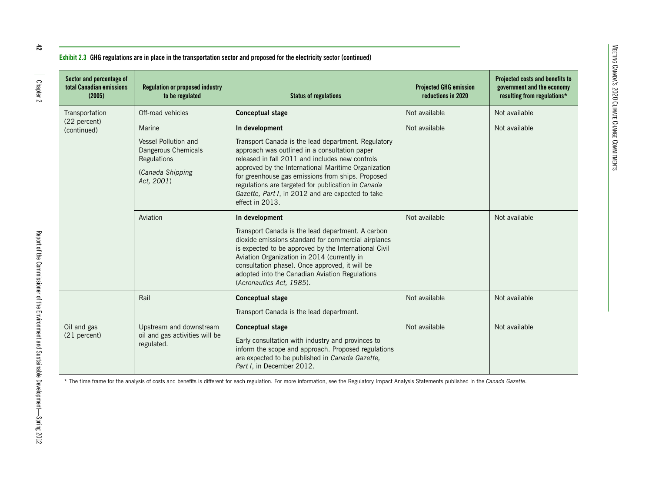| Sector and percentage of<br>total Canadian emissions<br>(2005) | <b>Regulation or proposed industry</b><br>to be regulated                                              | <b>Status of regulations</b>                                                                                                                                                                                                                                                                                                                                                                                        | <b>Projected GHG emission</b><br>reductions in 2020 | Projected costs and benefits to<br>government and the economy<br>resulting from regulations* |
|----------------------------------------------------------------|--------------------------------------------------------------------------------------------------------|---------------------------------------------------------------------------------------------------------------------------------------------------------------------------------------------------------------------------------------------------------------------------------------------------------------------------------------------------------------------------------------------------------------------|-----------------------------------------------------|----------------------------------------------------------------------------------------------|
| Transportation                                                 | Off-road vehicles                                                                                      | <b>Conceptual stage</b>                                                                                                                                                                                                                                                                                                                                                                                             | Not available                                       | Not available                                                                                |
| (22 percent)<br>(continued)                                    | Marine<br>Vessel Pollution and<br>Dangerous Chemicals<br>Regulations<br>(Canada Shipping<br>Act, 2001) | In development<br>Transport Canada is the lead department. Regulatory<br>approach was outlined in a consultation paper<br>released in fall 2011 and includes new controls<br>approved by the International Maritime Organization<br>for greenhouse gas emissions from ships. Proposed<br>regulations are targeted for publication in Canada<br>Gazette, Part I, in 2012 and are expected to take<br>effect in 2013. | Not available                                       | Not available                                                                                |
|                                                                | Aviation                                                                                               | In development<br>Transport Canada is the lead department. A carbon<br>dioxide emissions standard for commercial airplanes<br>is expected to be approved by the International Civil<br>Aviation Organization in 2014 (currently in<br>consultation phase). Once approved, it will be<br>adopted into the Canadian Aviation Regulations<br>(Aeronautics Act, 1985).                                                  | Not available                                       | Not available                                                                                |
|                                                                | Rail                                                                                                   | <b>Conceptual stage</b><br>Transport Canada is the lead department.                                                                                                                                                                                                                                                                                                                                                 | Not available                                       | Not available                                                                                |
| Oil and gas<br>(21 percent)                                    | Upstream and downstream<br>oil and gas activities will be<br>regulated.                                | <b>Conceptual stage</b><br>Early consultation with industry and provinces to<br>inform the scope and approach. Proposed regulations<br>are expected to be published in Canada Gazette,<br>Part I, in December 2012.                                                                                                                                                                                                 | Not available                                       | Not available                                                                                |

\* The time frame for the analysis of costs and benefits is different for each regulation. For more information, see the Regulatory Impact Analysis Statements published in the *Canada Gazette.*

 $t_2$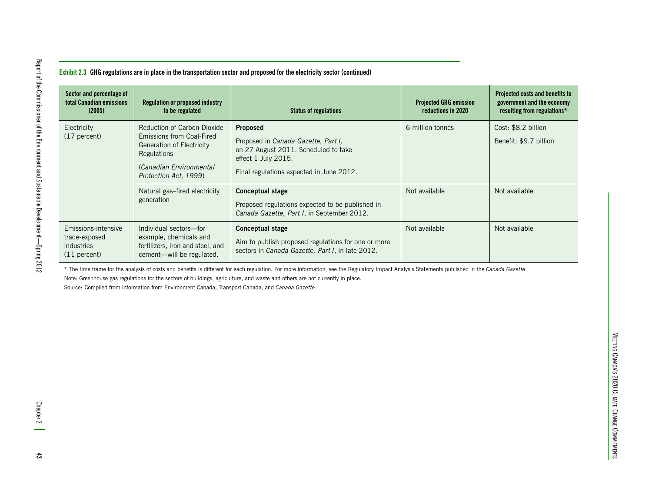| Reduction of Carbon Dioxide<br>Proposed<br>Cost: \$8.2 billion<br>Electricity<br>6 million tonnes<br>Emissions from Coal-Fired<br>(17 percent)<br>Proposed in Canada Gazette, Part I,<br>Benefit: \$9.7 billion<br>Generation of Electricity<br>on 27 August 2011. Scheduled to take<br>Regulations<br>effect 1 July 2015.<br>(Canadian Environmental<br>Final regulations expected in June 2012.<br>Protection Act, 1999)<br>Not available<br>Not available<br>Natural gas-fired electricity<br><b>Conceptual stage</b><br>generation<br>Proposed regulations expected to be published in<br>Canada Gazette, Part I, in September 2012. |
|------------------------------------------------------------------------------------------------------------------------------------------------------------------------------------------------------------------------------------------------------------------------------------------------------------------------------------------------------------------------------------------------------------------------------------------------------------------------------------------------------------------------------------------------------------------------------------------------------------------------------------------|
|                                                                                                                                                                                                                                                                                                                                                                                                                                                                                                                                                                                                                                          |
|                                                                                                                                                                                                                                                                                                                                                                                                                                                                                                                                                                                                                                          |
| Not available<br>Not available<br>Emissions-intensive<br>Individual sectors-for<br><b>Conceptual stage</b><br>example, chemicals and<br>trade-exposed<br>Aim to publish proposed regulations for one or more<br>industries<br>fertilizers, iron and steel, and<br>sectors in Canada Gazette, Part I, in late 2012.<br>cement-will be regulated.<br>$(11$ percent)                                                                                                                                                                                                                                                                        |

S 2020 CLIMATE CHANGE COMMITMENTS

MEETING CANADA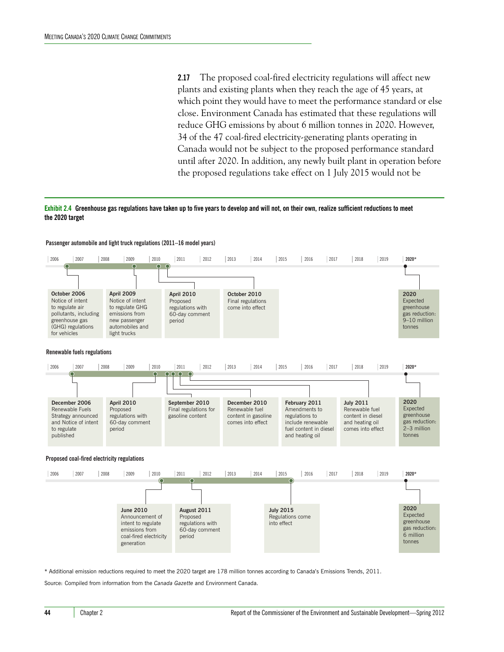**2.17** The proposed coal-fired electricity regulations will affect new plants and existing plants when they reach the age of 45 years, at which point they would have to meet the performance standard or else close. Environment Canada has estimated that these regulations will reduce GHG emissions by about 6 million tonnes in 2020. However, 34 of the 47 coal-fired electricity-generating plants operating in Canada would not be subject to the proposed performance standard until after 2020. In addition, any newly built plant in operation before the proposed regulations take effect on 1 July 2015 would not be

#### **Exhibit 2.4 Greenhouse gas regulations have taken up to five years to develop and will not, on their own, realize sufficient reductions to meet the 2020 target**



#### **Passenger automobile and light truck regulations (2011–16 model years)**

\* Additional emission reductions required to meet the 2020 target are 178 million tonnes according to Canada's Emissions Trends, 2011.

Source: Compiled from information from the *Canada Gazette* and Environment Canada.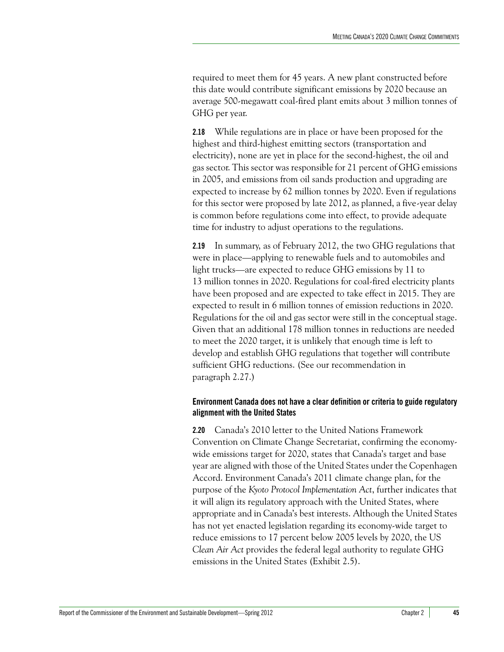required to meet them for 45 years. A new plant constructed before this date would contribute significant emissions by 2020 because an average 500-megawatt coal-fired plant emits about 3 million tonnes of GHG per year.

**2.18** While regulations are in place or have been proposed for the highest and third-highest emitting sectors (transportation and electricity), none are yet in place for the second-highest, the oil and gas sector. This sector was responsible for 21 percent of GHG emissions in 2005, and emissions from oil sands production and upgrading are expected to increase by 62 million tonnes by 2020. Even if regulations for this sector were proposed by late 2012, as planned, a five-year delay is common before regulations come into effect, to provide adequate time for industry to adjust operations to the regulations.

**2.19** In summary, as of February 2012, the two GHG regulations that were in place—applying to renewable fuels and to automobiles and light trucks—are expected to reduce GHG emissions by 11 to 13 million tonnes in 2020. Regulations for coal-fired electricity plants have been proposed and are expected to take effect in 2015. They are expected to result in 6 million tonnes of emission reductions in 2020. Regulations for the oil and gas sector were still in the conceptual stage. Given that an additional 178 million tonnes in reductions are needed to meet the 2020 target, it is unlikely that enough time is left to develop and establish GHG regulations that together will contribute sufficient GHG reductions. (See our recommendation in paragraph 2.27.)

#### <span id="page-16-0"></span>**Environment Canada does not have a clear definition or criteria to guide regulatory alignment with the United States**

**2.20** Canada's 2010 letter to the United Nations Framework Convention on Climate Change Secretariat, confirming the economywide emissions target for 2020, states that Canada's target and base year are aligned with those of the United States under the Copenhagen Accord. Environment Canada's 2011 climate change plan, for the purpose of the *Kyoto Protocol Implementation Act*, further indicates that it will align its regulatory approach with the United States, where appropriate and in Canada's best interests. Although the United States has not yet enacted legislation regarding its economy-wide target to reduce emissions to 17 percent below 2005 levels by 2020, the US *Clean Air Act* provides the federal legal authority to regulate GHG emissions in the United States (Exhibit 2.5).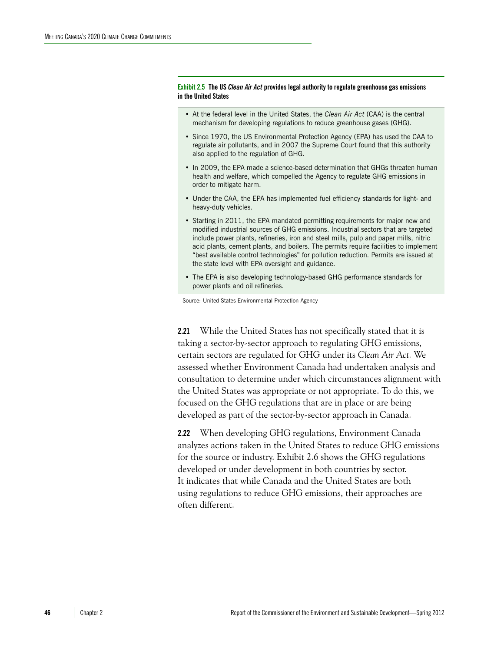**Exhibit 2.5 The US** *Clean Air Act* **provides legal authority to regulate greenhouse gas emissions in the United States**

- At the federal level in the United States, the *Clean Air Act* (CAA) is the central mechanism for developing regulations to reduce greenhouse gases (GHG).
- Since 1970, the US Environmental Protection Agency (EPA) has used the CAA to regulate air pollutants, and in 2007 the Supreme Court found that this authority also applied to the regulation of GHG.
- In 2009, the EPA made a science-based determination that GHGs threaten human health and welfare, which compelled the Agency to regulate GHG emissions in order to mitigate harm.
- Under the CAA, the EPA has implemented fuel efficiency standards for light- and heavy-duty vehicles.
- Starting in 2011, the EPA mandated permitting requirements for major new and modified industrial sources of GHG emissions. Industrial sectors that are targeted include power plants, refineries, iron and steel mills, pulp and paper mills, nitric acid plants, cement plants, and boilers. The permits require facilities to implement "best available control technologies" for pollution reduction. Permits are issued at the state level with EPA oversight and guidance.
- The EPA is also developing technology-based GHG performance standards for power plants and oil refineries.

Source: United States Environmental Protection Agency

**2.21** While the United States has not specifically stated that it is taking a sector-by-sector approach to regulating GHG emissions, certain sectors are regulated for GHG under its *Clean Air Act.* We assessed whether Environment Canada had undertaken analysis and consultation to determine under which circumstances alignment with the United States was appropriate or not appropriate. To do this, we focused on the GHG regulations that are in place or are being developed as part of the sector-by-sector approach in Canada.

**2.22** When developing GHG regulations, Environment Canada analyzes actions taken in the United States to reduce GHG emissions for the source or industry. Exhibit 2.6 shows the GHG regulations developed or under development in both countries by sector. It indicates that while Canada and the United States are both using regulations to reduce GHG emissions, their approaches are often different.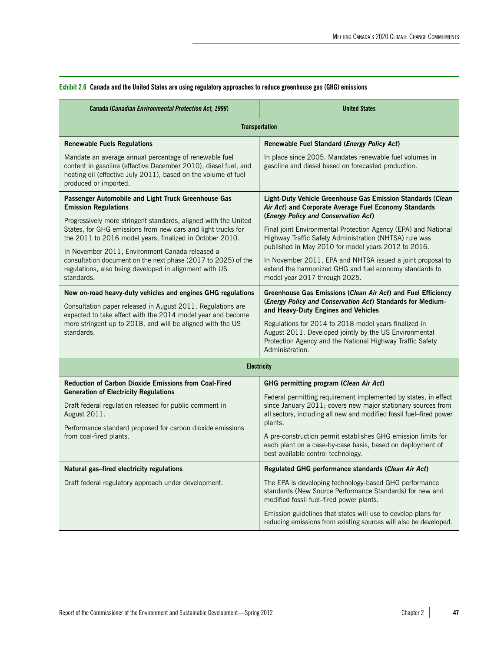| <b>Canada (Canadian Environmental Protection Act, 1999)</b>                                                                                                                                                                                                                                                                                                                             | <b>United States</b>                                                                                                                                                                                              |  |  |
|-----------------------------------------------------------------------------------------------------------------------------------------------------------------------------------------------------------------------------------------------------------------------------------------------------------------------------------------------------------------------------------------|-------------------------------------------------------------------------------------------------------------------------------------------------------------------------------------------------------------------|--|--|
| <b>Transportation</b>                                                                                                                                                                                                                                                                                                                                                                   |                                                                                                                                                                                                                   |  |  |
| <b>Renewable Fuels Regulations</b>                                                                                                                                                                                                                                                                                                                                                      | Renewable Fuel Standard (Energy Policy Act)                                                                                                                                                                       |  |  |
| Mandate an average annual percentage of renewable fuel<br>content in gasoline (effective December 2010), diesel fuel, and<br>heating oil (effective July 2011), based on the volume of fuel<br>produced or imported.                                                                                                                                                                    | In place since 2005. Mandates renewable fuel volumes in<br>gasoline and diesel based on forecasted production.                                                                                                    |  |  |
| Passenger Automobile and Light Truck Greenhouse Gas<br><b>Emission Regulations</b>                                                                                                                                                                                                                                                                                                      | Light-Duty Vehicle Greenhouse Gas Emission Standards (Clean<br>Air Act) and Corporate Average Fuel Economy Standards<br>(Energy Policy and Conservation Act)                                                      |  |  |
| Progressively more stringent standards, aligned with the United<br>States, for GHG emissions from new cars and light trucks for<br>the 2011 to 2016 model years, finalized in October 2010.<br>In November 2011, Environment Canada released a<br>consultation document on the next phase (2017 to 2025) of the<br>regulations, also being developed in alignment with US<br>standards. | Final joint Environmental Protection Agency (EPA) and National<br>Highway Traffic Safety Administration (NHTSA) rule was<br>published in May 2010 for model years 2012 to 2016.                                   |  |  |
|                                                                                                                                                                                                                                                                                                                                                                                         | In November 2011, EPA and NHTSA issued a joint proposal to<br>extend the harmonized GHG and fuel economy standards to<br>model year 2017 through 2025.                                                            |  |  |
| New on-road heavy-duty vehicles and engines GHG regulations                                                                                                                                                                                                                                                                                                                             | Greenhouse Gas Emissions (Clean Air Act) and Fuel Efficiency                                                                                                                                                      |  |  |
| Consultation paper released in August 2011. Regulations are<br>expected to take effect with the 2014 model year and become                                                                                                                                                                                                                                                              | (Energy Policy and Conservation Act) Standards for Medium-<br>and Heavy-Duty Engines and Vehicles                                                                                                                 |  |  |
| more stringent up to 2018, and will be aligned with the US<br>standards.                                                                                                                                                                                                                                                                                                                | Regulations for 2014 to 2018 model years finalized in<br>August 2011. Developed jointly by the US Environmental<br>Protection Agency and the National Highway Traffic Safety<br>Administration.                   |  |  |
| <b>Electricity</b>                                                                                                                                                                                                                                                                                                                                                                      |                                                                                                                                                                                                                   |  |  |
| <b>Reduction of Carbon Dioxide Emissions from Coal-Fired</b>                                                                                                                                                                                                                                                                                                                            | GHG permitting program (Clean Air Act)                                                                                                                                                                            |  |  |
| <b>Generation of Electricity Regulations</b><br>Draft federal regulation released for public comment in<br>August 2011.<br>Performance standard proposed for carbon dioxide emissions<br>from coal-fired plants.                                                                                                                                                                        | Federal permitting requirement implemented by states, in effect<br>since January 2011; covers new major stationary sources from<br>all sectors, including all new and modified fossil fuel-fired power<br>plants. |  |  |
|                                                                                                                                                                                                                                                                                                                                                                                         | A pre-construction permit establishes GHG emission limits for<br>each plant on a case-by-case basis, based on deployment of<br>best available control technology.                                                 |  |  |
| Natural gas-fired electricity regulations                                                                                                                                                                                                                                                                                                                                               | Regulated GHG performance standards (Clean Air Act)                                                                                                                                                               |  |  |
| Draft federal regulatory approach under development.                                                                                                                                                                                                                                                                                                                                    | The EPA is developing technology-based GHG performance<br>standards (New Source Performance Standards) for new and<br>modified fossil fuel-fired power plants.                                                    |  |  |
|                                                                                                                                                                                                                                                                                                                                                                                         | Emission guidelines that states will use to develop plans for<br>reducing emissions from existing sources will also be developed.                                                                                 |  |  |

#### **Exhibit 2.6 Canada and the United States are using regulatory approaches to reduce greenhouse gas (GHG) emissions**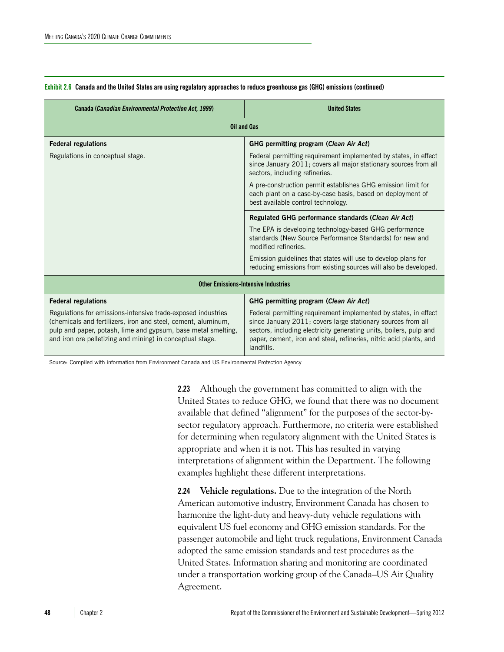| Canada (Canadian Environmental Protection Act, 1999)                                                                                                                                                                                                        | <b>United States</b>                                                                                                                                                                                                                                                                      |  |
|-------------------------------------------------------------------------------------------------------------------------------------------------------------------------------------------------------------------------------------------------------------|-------------------------------------------------------------------------------------------------------------------------------------------------------------------------------------------------------------------------------------------------------------------------------------------|--|
| <b>Oil and Gas</b>                                                                                                                                                                                                                                          |                                                                                                                                                                                                                                                                                           |  |
| <b>Federal regulations</b>                                                                                                                                                                                                                                  | GHG permitting program (Clean Air Act)                                                                                                                                                                                                                                                    |  |
| Regulations in conceptual stage.                                                                                                                                                                                                                            | Federal permitting requirement implemented by states, in effect<br>since January 2011; covers all major stationary sources from all<br>sectors, including refineries.                                                                                                                     |  |
|                                                                                                                                                                                                                                                             | A pre-construction permit establishes GHG emission limit for<br>each plant on a case-by-case basis, based on deployment of<br>best available control technology.                                                                                                                          |  |
|                                                                                                                                                                                                                                                             | Regulated GHG performance standards (Clean Air Act)                                                                                                                                                                                                                                       |  |
|                                                                                                                                                                                                                                                             | The EPA is developing technology-based GHG performance<br>standards (New Source Performance Standards) for new and<br>modified refineries.                                                                                                                                                |  |
|                                                                                                                                                                                                                                                             | Emission guidelines that states will use to develop plans for<br>reducing emissions from existing sources will also be developed.                                                                                                                                                         |  |
| <b>Other Emissions-Intensive Industries</b>                                                                                                                                                                                                                 |                                                                                                                                                                                                                                                                                           |  |
| <b>Federal regulations</b>                                                                                                                                                                                                                                  | GHG permitting program (Clean Air Act)                                                                                                                                                                                                                                                    |  |
| Regulations for emissions-intensive trade-exposed industries<br>(chemicals and fertilizers, iron and steel, cement, aluminum,<br>pulp and paper, potash, lime and gypsum, base metal smelting,<br>and iron ore pelletizing and mining) in conceptual stage. | Federal permitting requirement implemented by states, in effect<br>since January 2011; covers large stationary sources from all<br>sectors, including electricity generating units, boilers, pulp and<br>paper, cement, iron and steel, refineries, nitric acid plants, and<br>landfills. |  |

#### **Exhibit 2.6 Canada and the United States are using regulatory approaches to reduce greenhouse gas (GHG) emissions (continued)**

Source: Compiled with information from Environment Canada and US Environmental Protection Agency

**2.23** Although the government has committed to align with the United States to reduce GHG, we found that there was no document available that defined "alignment" for the purposes of the sector-bysector regulatory approach. Furthermore, no criteria were established for determining when regulatory alignment with the United States is appropriate and when it is not. This has resulted in varying interpretations of alignment within the Department. The following examples highlight these different interpretations.

**2.24 Vehicle regulations.** Due to the integration of the North American automotive industry, Environment Canada has chosen to harmonize the light-duty and heavy-duty vehicle regulations with equivalent US fuel economy and GHG emission standards. For the passenger automobile and light truck regulations, Environment Canada adopted the same emission standards and test procedures as the United States. Information sharing and monitoring are coordinated under a transportation working group of the Canada–US Air Quality Agreement.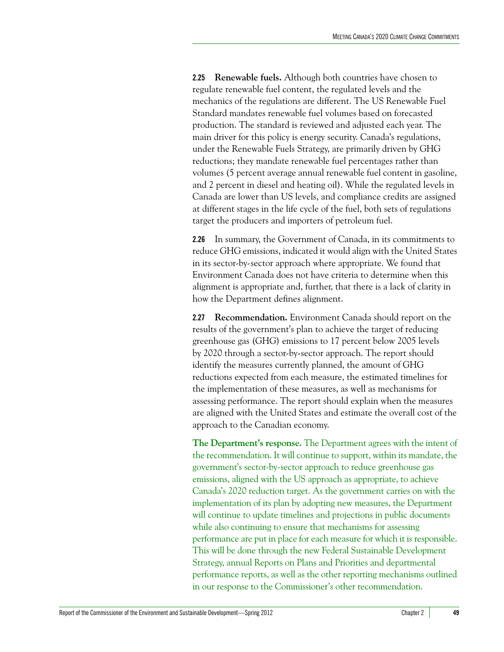**2.25 Renewable fuels.** Although both countries have chosen to regulate renewable fuel content, the regulated levels and the mechanics of the regulations are different. The US Renewable Fuel Standard mandates renewable fuel volumes based on forecasted production. The standard is reviewed and adjusted each year. The main driver for this policy is energy security. Canada's regulations, under the Renewable Fuels Strategy, are primarily driven by GHG reductions; they mandate renewable fuel percentages rather than volumes (5 percent average annual renewable fuel content in gasoline, and 2 percent in diesel and heating oil). While the regulated levels in Canada are lower than US levels, and compliance credits are assigned at different stages in the life cycle of the fuel, both sets of regulations target the producers and importers of petroleum fuel.

**2.26** In summary, the Government of Canada, in its commitments to reduce GHG emissions, indicated it would align with the United States in its sector-by-sector approach where appropriate. We found that Environment Canada does not have criteria to determine when this alignment is appropriate and, further, that there is a lack of clarity in how the Department defines alignment.

**2.27 Recommendation.** Environment Canada should report on the results of the government's plan to achieve the target of reducing greenhouse gas (GHG) emissions to 17 percent below 2005 levels by 2020 through a sector-by-sector approach. The report should identify the measures currently planned, the amount of GHG reductions expected from each measure, the estimated timelines for the implementation of these measures, as well as mechanisms for assessing performance. The report should explain when the measures are aligned with the United States and estimate the overall cost of the approach to the Canadian economy.

**The Department's response.** The Department agrees with the intent of the recommendation. It will continue to support, within its mandate, the government's sector-by-sector approach to reduce greenhouse gas emissions, aligned with the US approach as appropriate, to achieve Canada's 2020 reduction target. As the government carries on with the implementation of its plan by adopting new measures, the Department will continue to update timelines and projections in public documents while also continuing to ensure that mechanisms for assessing performance are put in place for each measure for which it is responsible. This will be done through the new Federal Sustainable Development Strategy, annual Reports on Plans and Priorities and departmental performance reports, as well as the other reporting mechanisms outlined in our response to the Commissioner's other recommendation.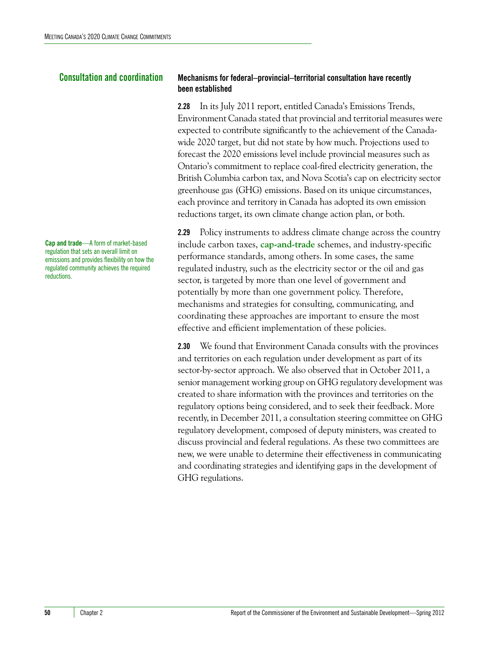**Cap and trade**—A form of market-based regulation that sets an overall limit on emissions and provides flexibility on how the regulated community achieves the required reductions.

#### <span id="page-21-0"></span>**Consultation and coordination Mechanisms for federal–provincial–territorial consultation have recently been established**

<span id="page-21-1"></span>**2.28** In its July 2011 report, entitled Canada's Emissions Trends, Environment Canada stated that provincial and territorial measures were expected to contribute significantly to the achievement of the Canadawide 2020 target, but did not state by how much. Projections used to forecast the 2020 emissions level include provincial measures such as Ontario's commitment to replace coal-fired electricity generation, the British Columbia carbon tax, and Nova Scotia's cap on electricity sector greenhouse gas (GHG) emissions. Based on its unique circumstances, each province and territory in Canada has adopted its own emission reductions target, its own climate change action plan, or both.

**2.29** Policy instruments to address climate change across the country include carbon taxes, **cap-and-trade** schemes, and industry-specific performance standards, among others. In some cases, the same regulated industry, such as the electricity sector or the oil and gas sector, is targeted by more than one level of government and potentially by more than one government policy. Therefore, mechanisms and strategies for consulting, communicating, and coordinating these approaches are important to ensure the most effective and efficient implementation of these policies.

**2.30** We found that Environment Canada consults with the provinces and territories on each regulation under development as part of its sector-by-sector approach. We also observed that in October 2011, a senior management working group on GHG regulatory development was created to share information with the provinces and territories on the regulatory options being considered, and to seek their feedback. More recently, in December 2011, a consultation steering committee on GHG regulatory development, composed of deputy ministers, was created to discuss provincial and federal regulations. As these two committees are new, we were unable to determine their effectiveness in communicating and coordinating strategies and identifying gaps in the development of GHG regulations.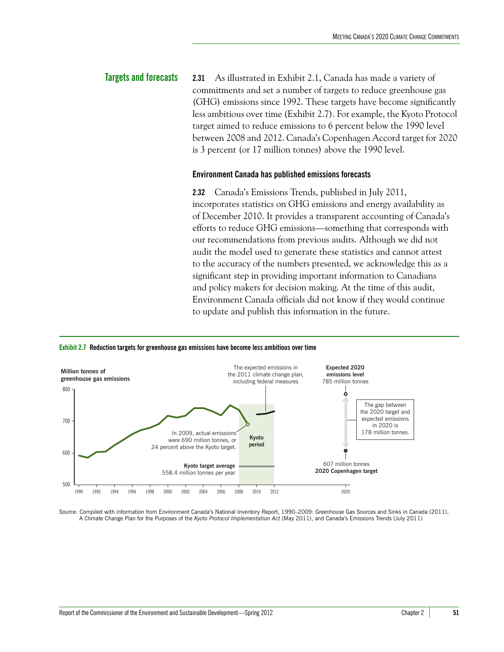### <span id="page-22-0"></span>**Targets and forecasts 2.31** As illustrated in Exhibit 2.1, Canada has made a variety of commitments and set a number of targets to reduce greenhouse gas (GHG) emissions since 1992. These targets have become significantly less ambitious over time (Exhibit 2.7). For example, the Kyoto Protocol target aimed to reduce emissions to 6 percent below the 1990 level between 2008 and 2012. Canada's Copenhagen Accord target for 2020 is 3 percent (or 17 million tonnes) above the 1990 level.

#### <span id="page-22-1"></span>**Environment Canada has published emissions forecasts**

**2.32** Canada's Emissions Trends, published in July 2011, incorporates statistics on GHG emissions and energy availability as of December 2010. It provides a transparent accounting of Canada's efforts to reduce GHG emissions—something that corresponds with our recommendations from previous audits. Although we did not audit the model used to generate these statistics and cannot attest to the accuracy of the numbers presented, we acknowledge this as a significant step in providing important information to Canadians and policy makers for decision making. At the time of this audit, Environment Canada officials did not know if they would continue to update and publish this information in the future.





Source: Compiled with information from Environment Canada's National Inventory Report, 1990–2009: Greenhouse Gas Sources and Sinks in Canada (2011), A Climate Change Plan for the Purposes of the *Kyoto Protocol Implementation Act* (May 2011), and Canada's Emissions Trends (July 2011)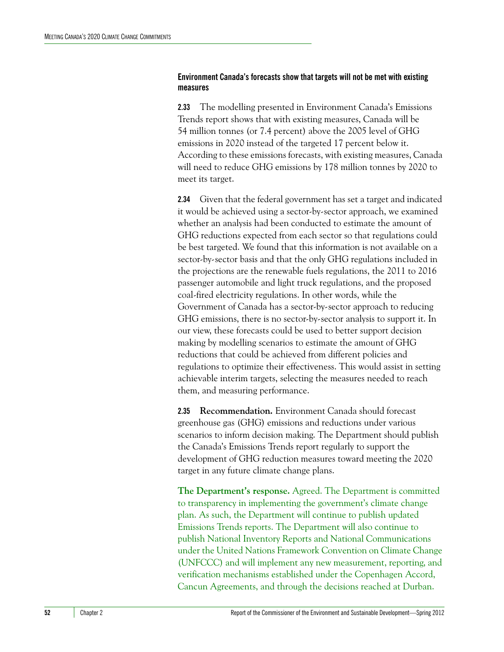#### <span id="page-23-0"></span>**Environment Canada's forecasts show that targets will not be met with existing measures**

**2.33** The modelling presented in Environment Canada's Emissions Trends report shows that with existing measures, Canada will be 54 million tonnes (or 7.4 percent) above the 2005 level of GHG emissions in 2020 instead of the targeted 17 percent below it. According to these emissions forecasts, with existing measures, Canada will need to reduce GHG emissions by 178 million tonnes by 2020 to meet its target.

**2.34** Given that the federal government has set a target and indicated it would be achieved using a sector-by-sector approach, we examined whether an analysis had been conducted to estimate the amount of GHG reductions expected from each sector so that regulations could be best targeted. We found that this information is not available on a sector-by-sector basis and that the only GHG regulations included in the projections are the renewable fuels regulations, the 2011 to 2016 passenger automobile and light truck regulations, and the proposed coal-fired electricity regulations. In other words, while the Government of Canada has a sector-by-sector approach to reducing GHG emissions, there is no sector-by-sector analysis to support it. In our view, these forecasts could be used to better support decision making by modelling scenarios to estimate the amount of GHG reductions that could be achieved from different policies and regulations to optimize their effectiveness. This would assist in setting achievable interim targets, selecting the measures needed to reach them, and measuring performance.

**2.35 Recommendation.** Environment Canada should forecast greenhouse gas (GHG) emissions and reductions under various scenarios to inform decision making. The Department should publish the Canada's Emissions Trends report regularly to support the development of GHG reduction measures toward meeting the 2020 target in any future climate change plans.

**The Department's response.** Agreed. The Department is committed to transparency in implementing the government's climate change plan. As such, the Department will continue to publish updated Emissions Trends reports. The Department will also continue to publish National Inventory Reports and National Communications under the United Nations Framework Convention on Climate Change (UNFCCC) and will implement any new measurement, reporting, and verification mechanisms established under the Copenhagen Accord, Cancun Agreements, and through the decisions reached at Durban.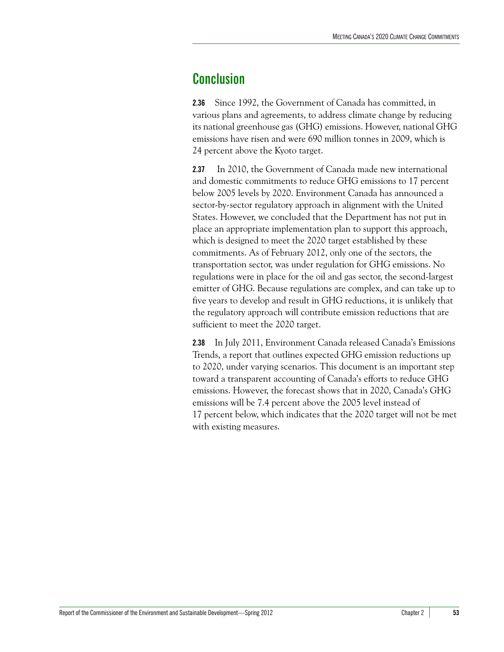### <span id="page-24-0"></span>**Conclusion**

**2.36** Since 1992, the Government of Canada has committed, in various plans and agreements, to address climate change by reducing its national greenhouse gas (GHG) emissions. However, national GHG emissions have risen and were 690 million tonnes in 2009, which is 24 percent above the Kyoto target.

**2.37** In 2010, the Government of Canada made new international and domestic commitments to reduce GHG emissions to 17 percent below 2005 levels by 2020. Environment Canada has announced a sector-by-sector regulatory approach in alignment with the United States. However, we concluded that the Department has not put in place an appropriate implementation plan to support this approach, which is designed to meet the 2020 target established by these commitments. As of February 2012, only one of the sectors, the transportation sector, was under regulation for GHG emissions. No regulations were in place for the oil and gas sector, the second-largest emitter of GHG. Because regulations are complex, and can take up to five years to develop and result in GHG reductions, it is unlikely that the regulatory approach will contribute emission reductions that are sufficient to meet the 2020 target.

**2.38** In July 2011, Environment Canada released Canada's Emissions Trends, a report that outlines expected GHG emission reductions up to 2020, under varying scenarios. This document is an important step toward a transparent accounting of Canada's efforts to reduce GHG emissions. However, the forecast shows that in 2020, Canada's GHG emissions will be 7.4 percent above the 2005 level instead of 17 percent below, which indicates that the 2020 target will not be met with existing measures.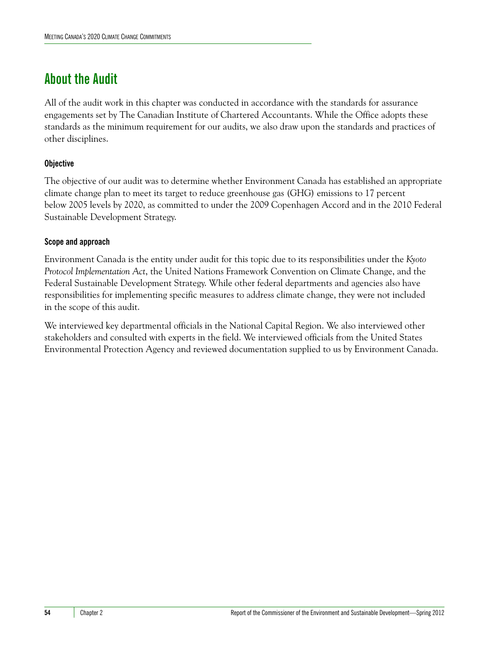### <span id="page-25-0"></span>**About the Audit**

All of the audit work in this chapter was conducted in accordance with the standards for assurance engagements set by The Canadian Institute of Chartered Accountants. While the Office adopts these standards as the minimum requirement for our audits, we also draw upon the standards and practices of other disciplines.

#### **Objective**

The objective of our audit was to determine whether Environment Canada has established an appropriate climate change plan to meet its target to reduce greenhouse gas (GHG) emissions to 17 percent below 2005 levels by 2020, as committed to under the 2009 Copenhagen Accord and in the 2010 Federal Sustainable Development Strategy.

#### **Scope and approach**

Environment Canada is the entity under audit for this topic due to its responsibilities under the *Kyoto Protocol Implementation Act*, the United Nations Framework Convention on Climate Change, and the Federal Sustainable Development Strategy. While other federal departments and agencies also have responsibilities for implementing specific measures to address climate change, they were not included in the scope of this audit.

We interviewed key departmental officials in the National Capital Region. We also interviewed other stakeholders and consulted with experts in the field. We interviewed officials from the United States Environmental Protection Agency and reviewed documentation supplied to us by Environment Canada.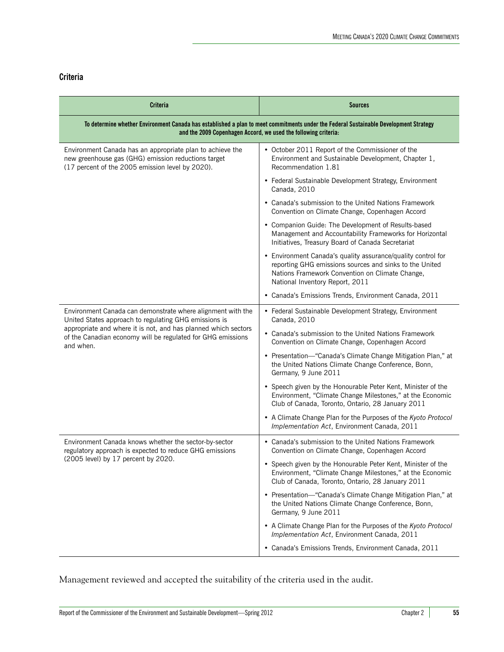### **Criteria**

| <b>Criteria</b>                                                                                                                                                                                                                                                    | <b>Sources</b>                                                                                                                                                                                                |  |
|--------------------------------------------------------------------------------------------------------------------------------------------------------------------------------------------------------------------------------------------------------------------|---------------------------------------------------------------------------------------------------------------------------------------------------------------------------------------------------------------|--|
| To determine whether Environment Canada has established a plan to meet commitments under the Federal Sustainable Development Strategy<br>and the 2009 Copenhagen Accord, we used the following criteria:                                                           |                                                                                                                                                                                                               |  |
| Environment Canada has an appropriate plan to achieve the<br>new greenhouse gas (GHG) emission reductions target<br>(17 percent of the 2005 emission level by 2020).                                                                                               | • October 2011 Report of the Commissioner of the<br>Environment and Sustainable Development, Chapter 1,<br>Recommendation 1.81                                                                                |  |
|                                                                                                                                                                                                                                                                    | • Federal Sustainable Development Strategy, Environment<br>Canada, 2010                                                                                                                                       |  |
|                                                                                                                                                                                                                                                                    | • Canada's submission to the United Nations Framework<br>Convention on Climate Change, Copenhagen Accord                                                                                                      |  |
|                                                                                                                                                                                                                                                                    | • Companion Guide: The Development of Results-based<br>Management and Accountability Frameworks for Horizontal<br>Initiatives, Treasury Board of Canada Secretariat                                           |  |
|                                                                                                                                                                                                                                                                    | • Environment Canada's quality assurance/quality control for<br>reporting GHG emissions sources and sinks to the United<br>Nations Framework Convention on Climate Change,<br>National Inventory Report, 2011 |  |
|                                                                                                                                                                                                                                                                    | • Canada's Emissions Trends, Environment Canada, 2011                                                                                                                                                         |  |
| Environment Canada can demonstrate where alignment with the<br>United States approach to regulating GHG emissions is<br>appropriate and where it is not, and has planned which sectors<br>of the Canadian economy will be regulated for GHG emissions<br>and when. | • Federal Sustainable Development Strategy, Environment<br>Canada, 2010                                                                                                                                       |  |
|                                                                                                                                                                                                                                                                    | • Canada's submission to the United Nations Framework<br>Convention on Climate Change, Copenhagen Accord                                                                                                      |  |
|                                                                                                                                                                                                                                                                    | • Presentation-"Canada's Climate Change Mitigation Plan," at<br>the United Nations Climate Change Conference, Bonn,<br>Germany, 9 June 2011                                                                   |  |
|                                                                                                                                                                                                                                                                    | • Speech given by the Honourable Peter Kent, Minister of the<br>Environment, "Climate Change Milestones," at the Economic<br>Club of Canada, Toronto, Ontario, 28 January 2011                                |  |
|                                                                                                                                                                                                                                                                    | • A Climate Change Plan for the Purposes of the Kyoto Protocol<br>Implementation Act, Environment Canada, 2011                                                                                                |  |
| Environment Canada knows whether the sector-by-sector<br>regulatory approach is expected to reduce GHG emissions<br>(2005 level) by 17 percent by 2020.                                                                                                            | • Canada's submission to the United Nations Framework<br>Convention on Climate Change, Copenhagen Accord                                                                                                      |  |
|                                                                                                                                                                                                                                                                    | Speech given by the Honourable Peter Kent, Minister of the<br>Environment, "Climate Change Milestones," at the Economic<br>Club of Canada, Toronto, Ontario, 28 January 2011                                  |  |
|                                                                                                                                                                                                                                                                    | • Presentation-"Canada's Climate Change Mitigation Plan," at<br>the United Nations Climate Change Conference, Bonn,<br>Germany, 9 June 2011                                                                   |  |
|                                                                                                                                                                                                                                                                    | • A Climate Change Plan for the Purposes of the Kyoto Protocol<br>Implementation Act, Environment Canada, 2011                                                                                                |  |
|                                                                                                                                                                                                                                                                    | • Canada's Emissions Trends, Environment Canada, 2011                                                                                                                                                         |  |

Management reviewed and accepted the suitability of the criteria used in the audit.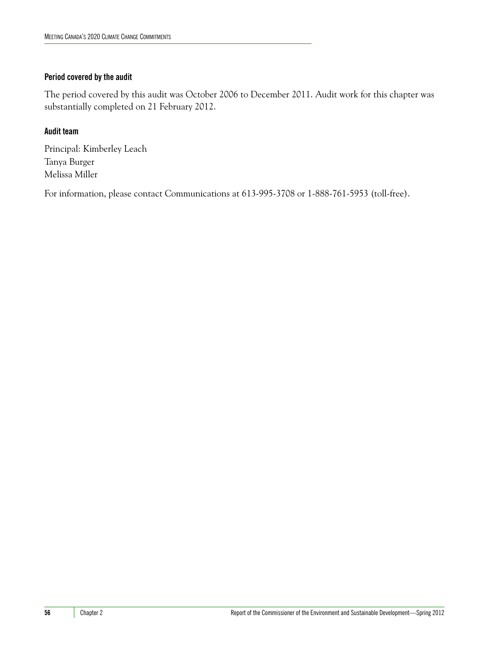#### **Period covered by the audit**

The period covered by this audit was October 2006 to December 2011. Audit work for this chapter was substantially completed on 21 February 2012.

#### **Audit team**

Principal: Kimberley Leach Tanya Burger Melissa Miller

For information, please contact Communications at 613-995-3708 or 1-888-761-5953 (toll-free).